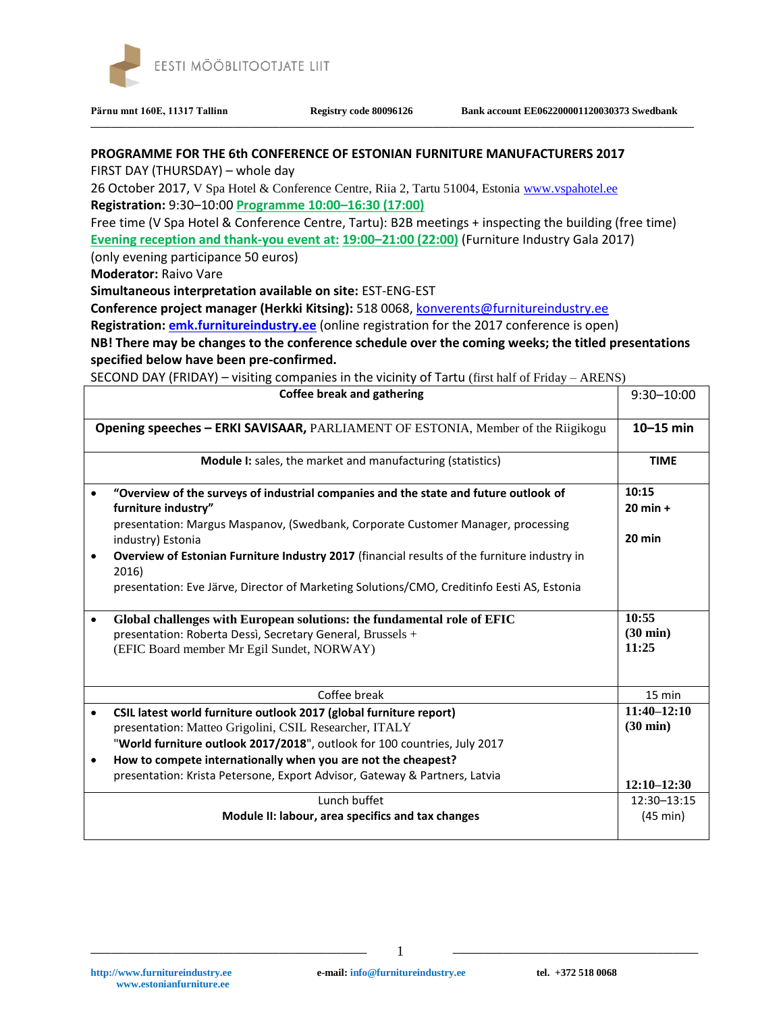

**\_\_\_\_\_\_\_\_\_\_\_\_\_\_\_\_\_\_\_\_\_\_\_\_\_\_\_\_\_\_\_\_\_\_\_\_\_\_\_\_\_\_\_\_\_\_\_\_\_\_\_\_\_\_\_\_\_\_\_\_\_\_\_\_\_\_\_\_\_\_\_\_\_\_\_\_\_\_\_\_\_\_\_\_\_\_\_\_\_\_\_\_\_\_\_\_\_\_\_\_\_\_\_\_\_\_\_\_\_\_\_\_\_\_\_\_\_\_**

## **PROGRAMME FOR THE 6th CONFERENCE OF ESTONIAN FURNITURE MANUFACTURERS 2017**

FIRST DAY (THURSDAY) – whole day

26 October 2017, V Spa Hotel & Conference Centre, Riia 2, Tartu 51004, Estonia [www.vspahotel.ee](http://www.vspahotel.ee/) **Registration:** 9:30–10:00 **Programme 10:00–16:30 (17:00)**

Free time (V Spa Hotel & Conference Centre, Tartu): B2B meetings + inspecting the building (free time)

**Evening reception and thank-you event at: 19:00–21:00 (22:00)** (Furniture Industry Gala 2017)

(only evening participance 50 euros)

**Moderator:** Raivo Vare

**Simultaneous interpretation available on site:** EST-ENG-EST

**Conference project manager (Herkki Kitsing):** 518 0068[, konverents@furnitureindustry.ee](mailto:konverents@furnitureindustry.ee)

**Registration: [emk.furnitureindustry.ee](http://emk.furnitureindustry.ee/)** (online registration for the 2017 conference is open)

**NB! There may be changes to the conference schedule over the coming weeks; the titled presentations specified below have been pre-confirmed.**

SECOND DAY (FRIDAY) – visiting companies in the vicinity of Tartu (first half of Friday – ARENS)

|                                                                                  | <b>Coffee break and gathering</b>                                                                     | 9:30-10:00         |
|----------------------------------------------------------------------------------|-------------------------------------------------------------------------------------------------------|--------------------|
| Opening speeches - ERKI SAVISAAR, PARLIAMENT OF ESTONIA, Member of the Riigikogu |                                                                                                       | $10-15$ min        |
|                                                                                  | Module I: sales, the market and manufacturing (statistics)                                            | <b>TIME</b>        |
|                                                                                  | "Overview of the surveys of industrial companies and the state and future outlook of                  | 10:15              |
|                                                                                  | furniture industry"                                                                                   | $20$ min +         |
|                                                                                  | presentation: Margus Maspanov, (Swedbank, Corporate Customer Manager, processing                      |                    |
|                                                                                  | industry) Estonia                                                                                     | $20$ min           |
|                                                                                  | Overview of Estonian Furniture Industry 2017 (financial results of the furniture industry in<br>2016) |                    |
|                                                                                  | presentation: Eve Järve, Director of Marketing Solutions/CMO, Creditinfo Eesti AS, Estonia            |                    |
| $\bullet$                                                                        | Global challenges with European solutions: the fundamental role of EFIC                               | 10:55              |
|                                                                                  | presentation: Roberta Dessì, Secretary General, Brussels +                                            | $(30 \text{ min})$ |
|                                                                                  | (EFIC Board member Mr Egil Sundet, NORWAY)                                                            | 11:25              |
|                                                                                  | Coffee break                                                                                          | 15 min             |
| $\bullet$                                                                        | CSIL latest world furniture outlook 2017 (global furniture report)                                    | $11:40 - 12:10$    |
|                                                                                  | presentation: Matteo Grigolini, CSIL Researcher, ITALY                                                | $(30 \text{ min})$ |
|                                                                                  | "World furniture outlook 2017/2018", outlook for 100 countries, July 2017                             |                    |
| $\bullet$                                                                        | How to compete internationally when you are not the cheapest?                                         |                    |
|                                                                                  | presentation: Krista Petersone, Export Advisor, Gateway & Partners, Latvia                            | $12:10 - 12:30$    |
|                                                                                  | Lunch buffet                                                                                          | 12:30-13:15        |
|                                                                                  | Module II: labour, area specifics and tax changes                                                     | $(45 \text{ min})$ |
|                                                                                  |                                                                                                       |                    |

1